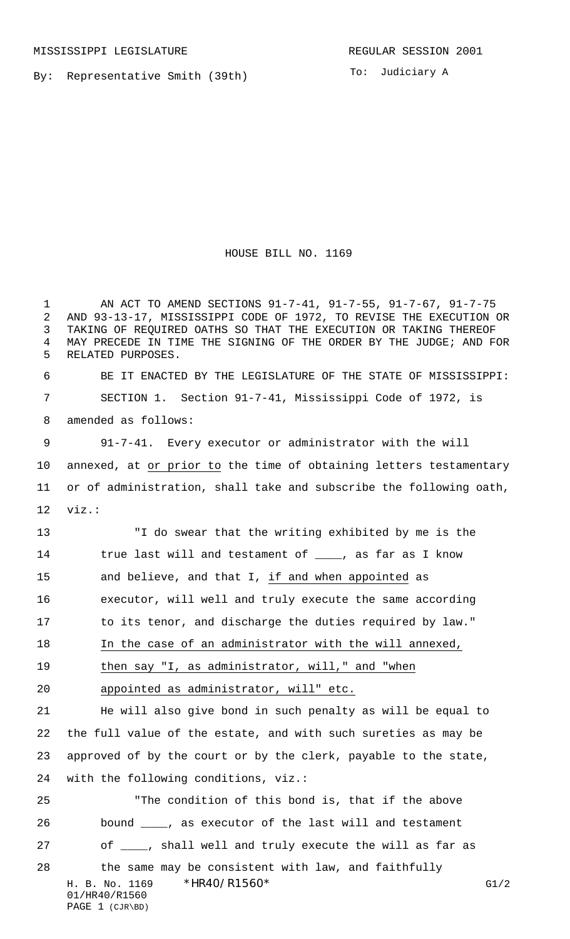By: Representative Smith (39th)

To: Judiciary A

## HOUSE BILL NO. 1169

H. B. No. 1169 \*HR40/R1560\* G1/2 01/HR40/R1560 PAGE 1 (CJR\BD) AN ACT TO AMEND SECTIONS 91-7-41, 91-7-55, 91-7-67, 91-7-75 AND 93-13-17, MISSISSIPPI CODE OF 1972, TO REVISE THE EXECUTION OR TAKING OF REQUIRED OATHS SO THAT THE EXECUTION OR TAKING THEREOF MAY PRECEDE IN TIME THE SIGNING OF THE ORDER BY THE JUDGE; AND FOR RELATED PURPOSES. BE IT ENACTED BY THE LEGISLATURE OF THE STATE OF MISSISSIPPI: SECTION 1. Section 91-7-41, Mississippi Code of 1972, is amended as follows: 91-7-41. Every executor or administrator with the will annexed, at or prior to the time of obtaining letters testamentary or of administration, shall take and subscribe the following oath, viz.: "I do swear that the writing exhibited by me is the 14 true last will and testament of \_\_\_\_, as far as I know and believe, and that I, if and when appointed as executor, will well and truly execute the same according to its tenor, and discharge the duties required by law." In the case of an administrator with the will annexed, 19 then say "I, as administrator, will," and "when appointed as administrator, will" etc. He will also give bond in such penalty as will be equal to the full value of the estate, and with such sureties as may be approved of by the court or by the clerk, payable to the state, with the following conditions, viz.: "The condition of this bond is, that if the above bound \_\_\_\_, as executor of the last will and testament 27 of  $\frac{1}{\sqrt{2}}$ , shall well and truly execute the will as far as the same may be consistent with law, and faithfully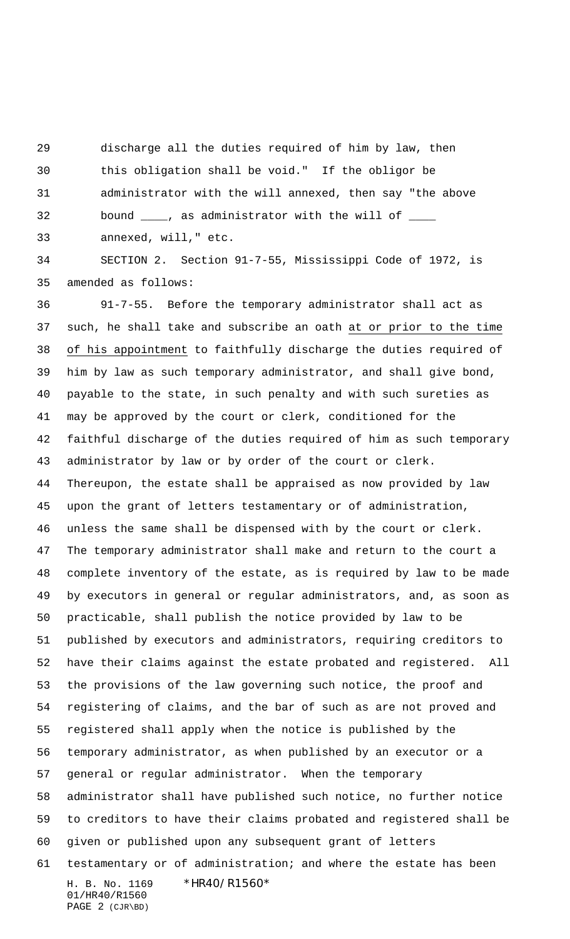discharge all the duties required of him by law, then

 this obligation shall be void." If the obligor be administrator with the will annexed, then say "the above

32 bound \_\_\_\_, as administrator with the will of \_\_\_\_\_

annexed, will," etc.

 SECTION 2. Section 91-7-55, Mississippi Code of 1972, is amended as follows:

H. B. No. 1169 \*HR40/R1560\* 01/HR40/R1560 91-7-55. Before the temporary administrator shall act as such, he shall take and subscribe an oath at or prior to the time of his appointment to faithfully discharge the duties required of him by law as such temporary administrator, and shall give bond, payable to the state, in such penalty and with such sureties as may be approved by the court or clerk, conditioned for the faithful discharge of the duties required of him as such temporary administrator by law or by order of the court or clerk. Thereupon, the estate shall be appraised as now provided by law upon the grant of letters testamentary or of administration, unless the same shall be dispensed with by the court or clerk. The temporary administrator shall make and return to the court a complete inventory of the estate, as is required by law to be made by executors in general or regular administrators, and, as soon as practicable, shall publish the notice provided by law to be published by executors and administrators, requiring creditors to have their claims against the estate probated and registered. All the provisions of the law governing such notice, the proof and registering of claims, and the bar of such as are not proved and registered shall apply when the notice is published by the temporary administrator, as when published by an executor or a general or regular administrator. When the temporary administrator shall have published such notice, no further notice to creditors to have their claims probated and registered shall be given or published upon any subsequent grant of letters testamentary or of administration; and where the estate has been

PAGE 2 (CJR\BD)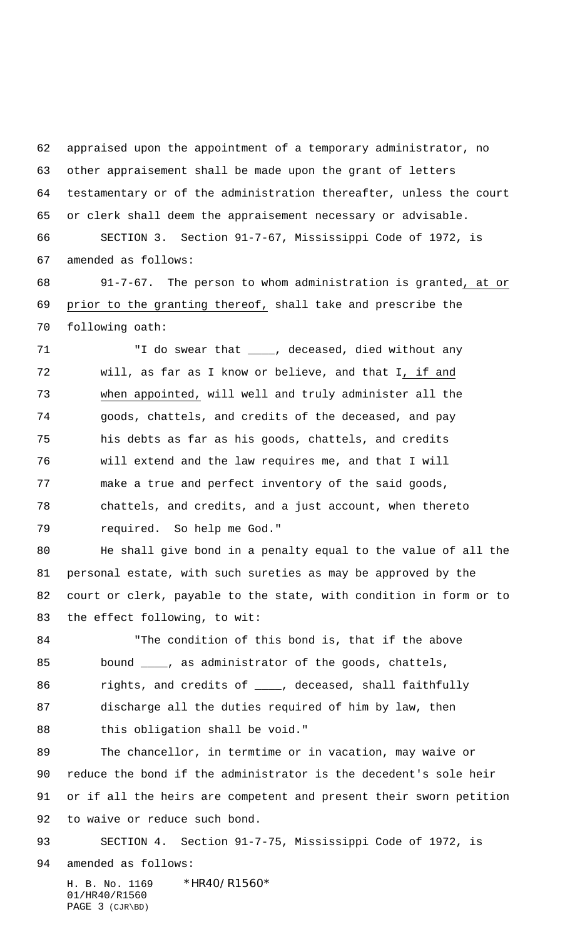appraised upon the appointment of a temporary administrator, no other appraisement shall be made upon the grant of letters testamentary or of the administration thereafter, unless the court or clerk shall deem the appraisement necessary or advisable.

 SECTION 3. Section 91-7-67, Mississippi Code of 1972, is amended as follows:

 91-7-67. The person to whom administration is granted, at or prior to the granting thereof, shall take and prescribe the following oath:

71 T do swear that \_\_\_\_, deceased, died without any will, as far as I know or believe, and that I, if and when appointed, will well and truly administer all the goods, chattels, and credits of the deceased, and pay his debts as far as his goods, chattels, and credits will extend and the law requires me, and that I will make a true and perfect inventory of the said goods, chattels, and credits, and a just account, when thereto required. So help me God."

 He shall give bond in a penalty equal to the value of all the personal estate, with such sureties as may be approved by the court or clerk, payable to the state, with condition in form or to the effect following, to wit:

 "The condition of this bond is, that if the above bound \_\_\_\_, as administrator of the goods, chattels, 86 rights, and credits of \_\_\_\_, deceased, shall faithfully discharge all the duties required of him by law, then this obligation shall be void."

 The chancellor, in termtime or in vacation, may waive or reduce the bond if the administrator is the decedent's sole heir or if all the heirs are competent and present their sworn petition to waive or reduce such bond.

93 SECTION 4. Section 91-7-75, Mississippi Code of 1972, is amended as follows:

H. B. No. 1169 \*HR40/R1560\* 01/HR40/R1560 PAGE 3 (CJR\BD)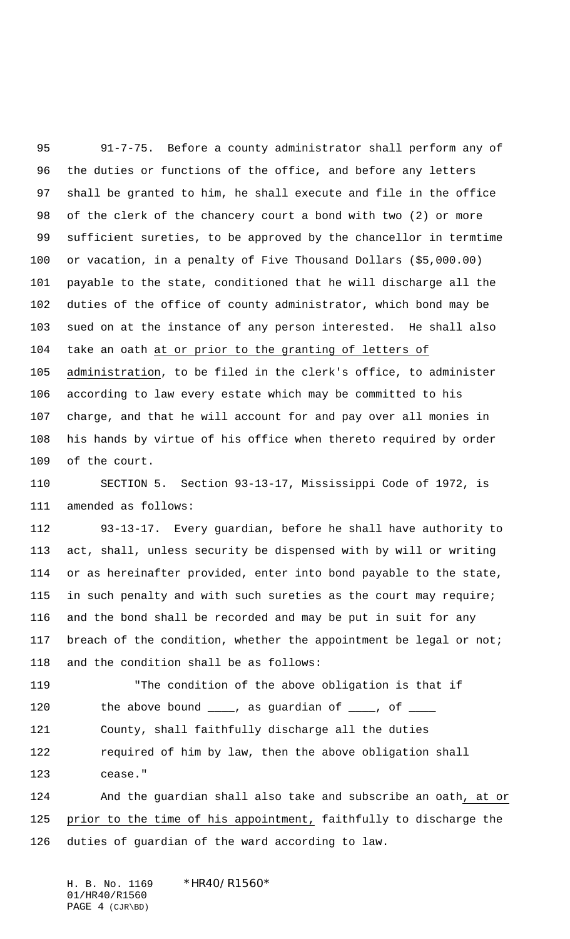91-7-75. Before a county administrator shall perform any of the duties or functions of the office, and before any letters shall be granted to him, he shall execute and file in the office of the clerk of the chancery court a bond with two (2) or more sufficient sureties, to be approved by the chancellor in termtime or vacation, in a penalty of Five Thousand Dollars (\$5,000.00) payable to the state, conditioned that he will discharge all the duties of the office of county administrator, which bond may be sued on at the instance of any person interested. He shall also take an oath at or prior to the granting of letters of administration, to be filed in the clerk's office, to administer according to law every estate which may be committed to his charge, and that he will account for and pay over all monies in his hands by virtue of his office when thereto required by order

of the court.

 SECTION 5. Section 93-13-17, Mississippi Code of 1972, is amended as follows:

 93-13-17. Every guardian, before he shall have authority to act, shall, unless security be dispensed with by will or writing or as hereinafter provided, enter into bond payable to the state, in such penalty and with such sureties as the court may require; and the bond shall be recorded and may be put in suit for any 117 breach of the condition, whether the appointment be legal or not; and the condition shall be as follows:

 "The condition of the above obligation is that if 120 the above bound \_\_\_\_, as guardian of \_\_\_\_, of \_\_\_\_ County, shall faithfully discharge all the duties required of him by law, then the above obligation shall cease."

 And the guardian shall also take and subscribe an oath, at or prior to the time of his appointment, faithfully to discharge the duties of guardian of the ward according to law.

H. B. No. 1169 \*HR40/R1560\* 01/HR40/R1560 PAGE 4 (CJR\BD)